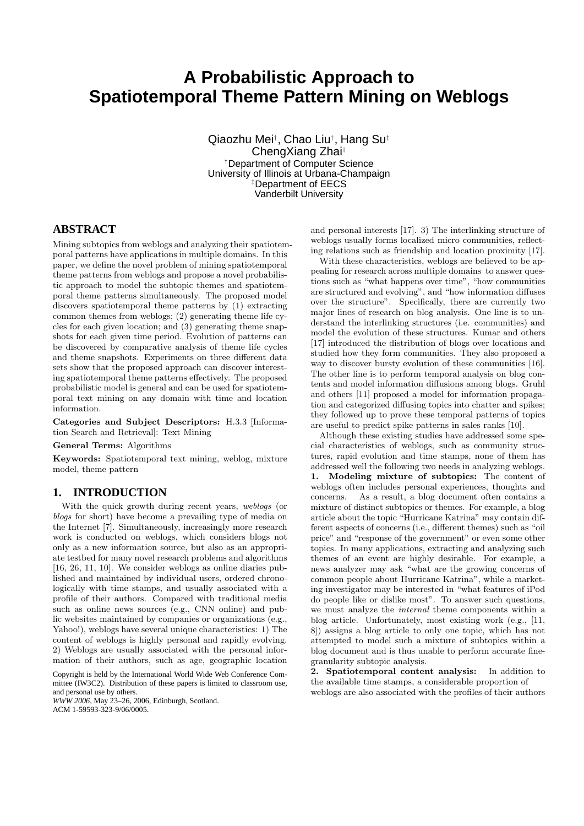# **A Probabilistic Approach to Spatiotemporal Theme Pattern Mining on Weblogs**

Qiaozhu Mei† , Chao Liu† , Hang Su‡ ChengXiang Zhai† †Department of Computer Science University of Illinois at Urbana-Champaign ‡Department of EECS Vanderbilt University

# **ABSTRACT**

Mining subtopics from weblogs and analyzing their spatiotemporal patterns have applications in multiple domains. In this paper, we define the novel problem of mining spatiotemporal theme patterns from weblogs and propose a novel probabilistic approach to model the subtopic themes and spatiotemporal theme patterns simultaneously. The proposed model discovers spatiotemporal theme patterns by (1) extracting common themes from weblogs; (2) generating theme life cycles for each given location; and (3) generating theme snapshots for each given time period. Evolution of patterns can be discovered by comparative analysis of theme life cycles and theme snapshots. Experiments on three different data sets show that the proposed approach can discover interesting spatiotemporal theme patterns effectively. The proposed probabilistic model is general and can be used for spatiotemporal text mining on any domain with time and location information.

Categories and Subject Descriptors: H.3.3 [Information Search and Retrieval]: Text Mining

General Terms: Algorithms

Keywords: Spatiotemporal text mining, weblog, mixture model, theme pattern

# **1. INTRODUCTION**

With the quick growth during recent years, weblogs (or blogs for short) have become a prevailing type of media on the Internet [7]. Simultaneously, increasingly more research work is conducted on weblogs, which considers blogs not only as a new information source, but also as an appropriate testbed for many novel research problems and algorithms [16, 26, 11, 10]. We consider weblogs as online diaries published and maintained by individual users, ordered chronologically with time stamps, and usually associated with a profile of their authors. Compared with traditional media such as online news sources (e.g., CNN online) and public websites maintained by companies or organizations (e.g., Yahoo!), weblogs have several unique characteristics: 1) The content of weblogs is highly personal and rapidly evolving. 2) Weblogs are usually associated with the personal information of their authors, such as age, geographic location

Copyright is held by the International World Wide Web Conference Committee (IW3C2). Distribution of these papers is limited to classroom use, and personal use by others.

*WWW 2006*, May 23–26, 2006, Edinburgh, Scotland. ACM 1-59593-323-9/06/0005.

and personal interests [17]. 3) The interlinking structure of weblogs usually forms localized micro communities, reflecting relations such as friendship and location proximity [17].

With these characteristics, weblogs are believed to be appealing for research across multiple domains to answer questions such as "what happens over time", "how communities are structured and evolving", and "how information diffuses over the structure". Specifically, there are currently two major lines of research on blog analysis. One line is to understand the interlinking structures (i.e. communities) and model the evolution of these structures. Kumar and others [17] introduced the distribution of blogs over locations and studied how they form communities. They also proposed a way to discover bursty evolution of these communities [16]. The other line is to perform temporal analysis on blog contents and model information diffusions among blogs. Gruhl and others [11] proposed a model for information propagation and categorized diffusing topics into chatter and spikes; they followed up to prove these temporal patterns of topics are useful to predict spike patterns in sales ranks [10].

Although these existing studies have addressed some special characteristics of weblogs, such as community structures, rapid evolution and time stamps, none of them has addressed well the following two needs in analyzing weblogs. 1. Modeling mixture of subtopics: The content of weblogs often includes personal experiences, thoughts and concerns. As a result, a blog document often contains a mixture of distinct subtopics or themes. For example, a blog article about the topic "Hurricane Katrina" may contain different aspects of concerns (i.e., different themes) such as "oil price" and "response of the government" or even some other topics. In many applications, extracting and analyzing such themes of an event are highly desirable. For example, a news analyzer may ask "what are the growing concerns of common people about Hurricane Katrina", while a marketing investigator may be interested in "what features of iPod do people like or dislike most". To answer such questions, we must analyze the internal theme components within a blog article. Unfortunately, most existing work (e.g., [11, 8]) assigns a blog article to only one topic, which has not attempted to model such a mixture of subtopics within a blog document and is thus unable to perform accurate finegranularity subtopic analysis.

2. Spatiotemporal content analysis: In addition to the available time stamps, a considerable proportion of weblogs are also associated with the profiles of their authors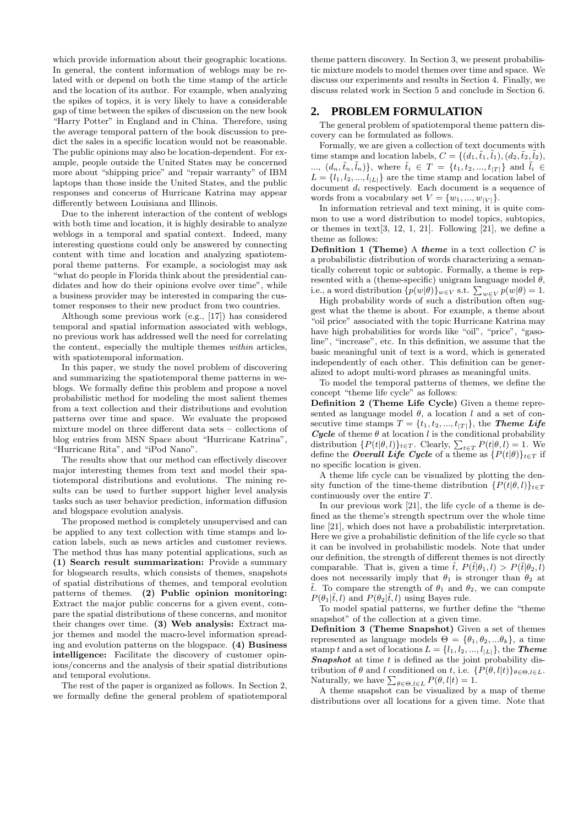which provide information about their geographic locations. In general, the content information of weblogs may be related with or depend on both the time stamp of the article and the location of its author. For example, when analyzing the spikes of topics, it is very likely to have a considerable gap of time between the spikes of discussion on the new book "Harry Potter" in England and in China. Therefore, using the average temporal pattern of the book discussion to predict the sales in a specific location would not be reasonable. The public opinions may also be location-dependent. For example, people outside the United States may be concerned more about "shipping price" and "repair warranty" of IBM laptops than those inside the United States, and the public responses and concerns of Hurricane Katrina may appear differently between Louisiana and Illinois.

Due to the inherent interaction of the content of weblogs with both time and location, it is highly desirable to analyze weblogs in a temporal and spatial context. Indeed, many interesting questions could only be answered by connecting content with time and location and analyzing spatiotemporal theme patterns. For example, a sociologist may ask "what do people in Florida think about the presidential candidates and how do their opinions evolve over time", while a business provider may be interested in comparing the customer responses to their new product from two countries.

Although some previous work (e.g., [17]) has considered temporal and spatial information associated with weblogs, no previous work has addressed well the need for correlating the content, especially the multiple themes within articles, with spatiotemporal information.

In this paper, we study the novel problem of discovering and summarizing the spatiotemporal theme patterns in weblogs. We formally define this problem and propose a novel probabilistic method for modeling the most salient themes from a text collection and their distributions and evolution patterns over time and space. We evaluate the proposed mixture model on three different data sets – collections of blog entries from MSN Space about "Hurricane Katrina", "Hurricane Rita", and "iPod Nano".

The results show that our method can effectively discover major interesting themes from text and model their spatiotemporal distributions and evolutions. The mining results can be used to further support higher level analysis tasks such as user behavior prediction, information diffusion and blogspace evolution analysis.

The proposed method is completely unsupervised and can be applied to any text collection with time stamps and location labels, such as news articles and customer reviews. The method thus has many potential applications, such as (1) Search result summarization: Provide a summary for blogsearch results, which consists of themes, snapshots of spatial distributions of themes, and temporal evolution patterns of themes. (2) Public opinion monitoring: Extract the major public concerns for a given event, compare the spatial distributions of these concerns, and monitor their changes over time. (3) Web analysis: Extract major themes and model the macro-level information spreading and evolution patterns on the blogspace. (4) Business intelligence: Facilitate the discovery of customer opinions/concerns and the analysis of their spatial distributions and temporal evolutions.

The rest of the paper is organized as follows. In Section 2, we formally define the general problem of spatiotemporal

theme pattern discovery. In Section 3, we present probabilistic mixture models to model themes over time and space. We discuss our experiments and results in Section 4. Finally, we discuss related work in Section 5 and conclude in Section 6.

## **2. PROBLEM FORMULATION**

The general problem of spatiotemporal theme pattern discovery can be formulated as follows.

Formally, we are given a collection of text documents with time stamps and location labels,  $C = \{(d_1, \tilde{t}_1, \tilde{t}_1), (d_2, \tilde{t}_2, \tilde{t}_2),$ ...,  $(d_n, \tilde{t}_n, \tilde{l}_n)$ }, where  $\tilde{t}_i$  ∈  $T = \{t_1, t_2, ..., t_{|T|}\}\$ and  $\tilde{l}_i$  ∈  $L = \{l_1, l_2, ..., l_{|L|}\}\$ are the time stamp and location label of document  $d_i$  respectively. Each document is a sequence of words from a vocabulary set  $V = \{w_1, ..., w_{|V|}\}.$ 

In information retrieval and text mining, it is quite common to use a word distribution to model topics, subtopics, or themes in text $[3, 12, 1, 21]$ . Following  $[21]$ , we define a theme as follows:

**Definition 1 (Theme)** A *theme* in a text collection  $C$  is a probabilistic distribution of words characterizing a semantically coherent topic or subtopic. Formally, a theme is represented with a (theme-specific) unigram language model  $\theta$ , resented with a (theme-specific) unigram language model  $\theta$ ,<br>i.e., a word distribution  $\{p(w|\theta)\}_{w\in V}$  s.t.  $\sum_{w\in V} p(w|\theta) = 1$ .

High probability words of such a distribution often suggest what the theme is about. For example, a theme about "oil price" associated with the topic Hurricane Katrina may have high probabilities for words like "oil", "price", "gasoline", "increase", etc. In this definition, we assume that the basic meaningful unit of text is a word, which is generated independently of each other. This definition can be generalized to adopt multi-word phrases as meaningful units.

To model the temporal patterns of themes, we define the concept "theme life cycle" as follows:

Definition 2 (Theme Life Cycle) Given a theme represented as language model  $\theta$ , a location l and a set of consecutive time stamps  $T = \{t_1, t_2, ..., t_{|T|}\}\)$ , the Theme Life Cycle of theme  $\theta$  at location l is the conditional probability Cycle of theme  $\theta$  at location t is the conditional probability<br>distribution  $\{P(t|\theta, l)\}_{t \in T}$ . Clearly,  $\sum_{t \in T} P(t|\theta, l) = 1$ . We define the *Overall Life Cycle* of a theme as  $\{P(t|\theta)\}_{t\in T}$  if no specific location is given.

A theme life cycle can be visualized by plotting the density function of the time-theme distribution  $\{P(t|\theta, l)\}_{t\in T}$ continuously over the entire T.

In our previous work [21], the life cycle of a theme is defined as the theme's strength spectrum over the whole time line [21], which does not have a probabilistic interpretation. Here we give a probabilistic definition of the life cycle so that it can be involved in probabilistic models. Note that under our definition, the strength of different themes is not directly comparable. That is, given a time  $\tilde{t}$ ,  $P(\tilde{t}|\theta_1, l) > P(\tilde{t}|\theta_2, l)$ does not necessarily imply that  $\theta_1$  is stronger than  $\theta_2$  at  $\tilde{t}$ . To compare the strength of  $\theta_1$  and  $\theta_2$ , we can compute  $P(\theta_1|\tilde{t}, l)$  and  $P(\theta_2|\tilde{t}, l)$  using Bayes rule.

To model spatial patterns, we further define the "theme snapshot" of the collection at a given time.

Definition 3 (Theme Snapshot) Given a set of themes represented as language models  $\Theta = {\theta_1, \theta_2, ... \theta_k}$ , a time stamp t and a set of locations  $L = \{l_1, l_2, ..., l_{|L|}\}\$ , the **Theme Snapshot** at time  $t$  is defined as the joint probability distribution of  $\theta$  and l conditioned on t, i.e.  $\{P(\theta, l|t)\}_{\theta \in \Theta, l \in L}$ . tribution of  $\theta$  and  $l$  conditioned on  $t$ , i.e. {<br>Naturally, we have  $\sum_{\theta \in \Theta, l \in L} P(\theta, l|t) = 1$ .

A theme snapshot can be visualized by a map of theme distributions over all locations for a given time. Note that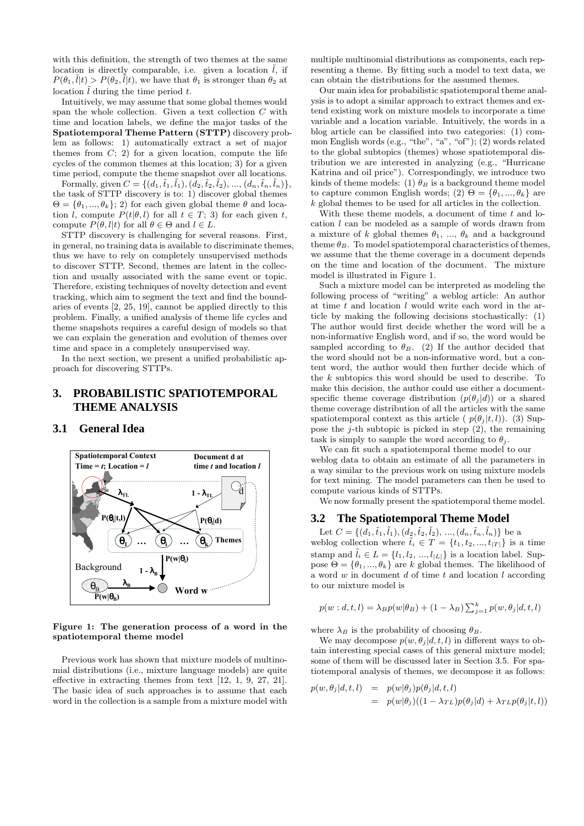with this definition, the strength of two themes at the same location is directly comparable, i.e. given a location  $\tilde{l}$ , if  $P(\theta_1, \tilde{l}|t) > P(\theta_2, \tilde{l}|t)$ , we have that  $\theta_1$  is stronger than  $\theta_2$  at location  $\tilde{l}$  during the time period t.

Intuitively, we may assume that some global themes would span the whole collection. Given a text collection C with time and location labels, we define the major tasks of the Spatiotemporal Theme Pattern (STTP) discovery problem as follows: 1) automatically extract a set of major themes from  $C$ ; 2) for a given location, compute the life cycles of the common themes at this location; 3) for a given time period, compute the theme snapshot over all locations.

Formally, given  $C = \{ (d_1, \tilde{t}_1, \tilde{t}_1), (\tilde{d}_2, \tilde{t}_2, \tilde{t}_2), ..., (\tilde{d}_n, \tilde{t}_n, \tilde{t}_n) \},$ the task of STTP discovery is to: 1) discover global themes  $\Theta = {\theta_1, ..., \theta_k}$ ; 2) for each given global theme  $\theta$  and location l, compute  $P(t|\theta, l)$  for all  $t \in T$ ; 3) for each given t, compute  $P(\theta, l|t)$  for all  $\theta \in \Theta$  and  $l \in L$ .

STTP discovery is challenging for several reasons. First, in general, no training data is available to discriminate themes, thus we have to rely on completely unsupervised methods to discover STTP. Second, themes are latent in the collection and usually associated with the same event or topic. Therefore, existing techniques of novelty detection and event tracking, which aim to segment the text and find the boundaries of events [2, 25, 19], cannot be applied directly to this problem. Finally, a unified analysis of theme life cycles and theme snapshots requires a careful design of models so that we can explain the generation and evolution of themes over time and space in a completely unsupervised way.

In the next section, we present a unified probabilistic approach for discovering STTPs.

# **3. PROBABILISTIC SPATIOTEMPORAL THEME ANALYSIS**



# **3.1 General Idea**

#### Figure 1: The generation process of a word in the spatiotemporal theme model

Previous work has shown that mixture models of multinomial distributions (i.e., mixture language models) are quite effective in extracting themes from text [12, 1, 9, 27, 21]. The basic idea of such approaches is to assume that each word in the collection is a sample from a mixture model with

multiple multinomial distributions as components, each representing a theme. By fitting such a model to text data, we can obtain the distributions for the assumed themes.

Our main idea for probabilistic spatiotemporal theme analysis is to adopt a similar approach to extract themes and extend existing work on mixture models to incorporate a time variable and a location variable. Intuitively, the words in a blog article can be classified into two categories: (1) common English words (e.g., "the", "a", "of"); (2) words related to the global subtopics (themes) whose spatiotemporal distribution we are interested in analyzing (e.g., "Hurricane Katrina and oil price"). Correspondingly, we introduce two kinds of theme models: (1)  $\theta_B$  is a background theme model to capture common English words;  $(2)$   $\Theta = {\theta_1, ..., \theta_k}$  are k global themes to be used for all articles in the collection.

With these theme models, a document of time  $t$  and location l can be modeled as a sample of words drawn from a mixture of k global themes  $\theta_1, \ldots, \theta_k$  and a background theme  $\theta_B$ . To model spatiotemporal characteristics of themes, we assume that the theme coverage in a document depends on the time and location of the document. The mixture model is illustrated in Figure 1.

Such a mixture model can be interpreted as modeling the following process of "writing" a weblog article: An author at time t and location l would write each word in the article by making the following decisions stochastically: (1) The author would first decide whether the word will be a non-informative English word, and if so, the word would be sampled according to  $\theta_B$ . (2) If the author decided that the word should not be a non-informative word, but a content word, the author would then further decide which of the k subtopics this word should be used to describe. To make this decision, the author could use either a documentspecific theme coverage distribution  $(p(\theta_i | d))$  or a shared theme coverage distribution of all the articles with the same spatiotemporal context as this article (  $p(\theta_j | t, l)$ ). (3) Suppose the  $j$ -th subtopic is picked in step  $(2)$ , the remaining task is simply to sample the word according to  $\theta_i$ .

We can fit such a spatiotemporal theme model to our weblog data to obtain an estimate of all the parameters in a way similar to the previous work on using mixture models for text mining. The model parameters can then be used to compute various kinds of STTPs.

We now formally present the spatiotemporal theme model.

#### **3.2 The Spatiotemporal Theme Model**

Let  $C = \{(d_1, \tilde{t}_1, \tilde{l}_1), (d_2, \tilde{t}_2, \tilde{l}_2), ..., (d_n, \tilde{t}_n, \tilde{l}_n)\}$  be a weblog collection where  $\tilde{t}_i \in T = \{t_1, t_2, ..., t_{|T|}\}$  is a time stamp and  $\tilde{l}_i \in L = \{l_1, l_2, ..., l_{|L|}\}\$ is a location label. Suppose  $\Theta = {\theta_1, ..., \theta_k}$  are k global themes. The likelihood of a word  $w$  in document  $d$  of time  $t$  and location  $l$  according to our mixture model is

$$
p(w:d, t, l) = \lambda_B p(w|\theta_B) + (1 - \lambda_B) \sum_{j=1}^k p(w, \theta_j|d, t, l)
$$

where  $\lambda_B$  is the probability of choosing  $\theta_B$ .

We may decompose  $p(w, \theta_i | d, t, l)$  in different ways to obtain interesting special cases of this general mixture model; some of them will be discussed later in Section 3.5. For spatiotemporal analysis of themes, we decompose it as follows:

$$
p(w, \theta_j | d, t, l) = p(w | \theta_j) p(\theta_j | d, t, l)
$$
  
= 
$$
p(w | \theta_j) ((1 - \lambda_{TL}) p(\theta_j | d) + \lambda_{TL} p(\theta_j | t, l))
$$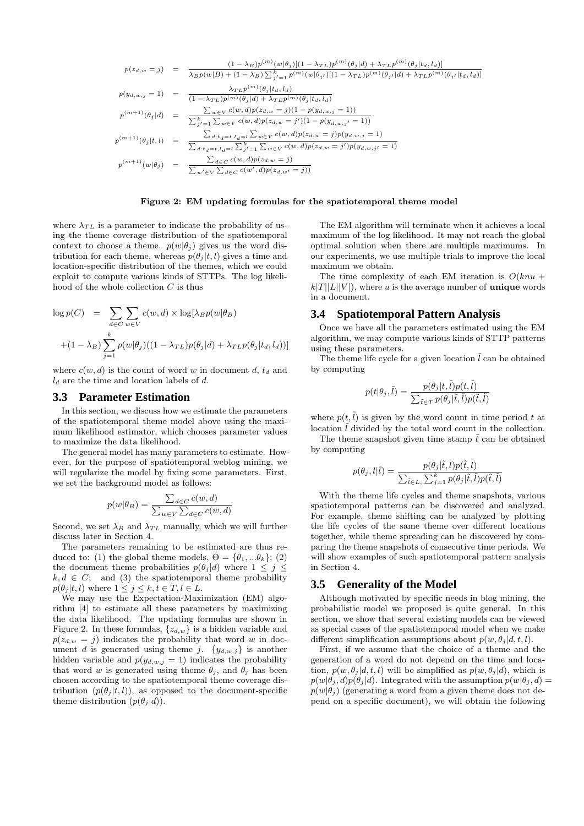$$
p(z_{d,w} = j) = \frac{(1 - \lambda_B) p^{(m)}(w|\theta_j)[(1 - \lambda_{TL}) p^{(m)}(\theta_j|d) + \lambda_{TL} p^{(m)}(\theta_j|t_d, l_d)]}{\lambda_B p(w|B) + (1 - \lambda_B) \sum_{j'=1}^{k} p^{(m)}(w|\theta_{j'})[(1 - \lambda_{TL}) p^{(m)}(\theta_{j'}|d) + \lambda_{TL} p^{(m)}(\theta_{j'}|t_d, l_d)]}
$$
  
\n
$$
p(y_{d,w,j} = 1) = \frac{\lambda_{TL} p^{(m)}(\theta_j|t_d, l_d)}{(1 - \lambda_{TL}) p^{(m)}(\theta_j|d) + \lambda_{TL} p^{(m)}(\theta_j|t_d, l_d)}
$$
  
\n
$$
p^{(m+1)}(\theta_j|d) = \frac{\sum_{w \in V} c(w, d) p(z_{d,w} = j)(1 - p(y_{d,w,j} = 1))}{\sum_{j'=1}^{k} \sum_{w \in V} c(w, d) p(z_{d,w} = j')(1 - p(y_{d,w,j'} = 1))}
$$
  
\n
$$
p^{(m+1)}(\theta_j|t, l) = \frac{\sum_{d:t_d = t, l_d = l} \sum_{w \in V} c(w, d) p(z_{d,w} = j) p(y_{d,w,j} = 1)}{\sum_{d:t_d = t, l_d = l} \sum_{j'=1}^{k} \sum_{w \in V} c(w, d) p(z_{d,w} = j') p(y_{d,w,j'} = 1)}
$$
  
\n
$$
p^{(m+1)}(w|\theta_j) = \frac{\sum_{d \in C} c(w, d) p(z_{d,w} = j)}{\sum_{w' \in V} \sum_{d \in C} c(w', d) p(z_{d,w'} = j)}
$$

#### Figure 2: EM updating formulas for the spatiotemporal theme model

where  $\lambda_{TL}$  is a parameter to indicate the probability of using the theme coverage distribution of the spatiotemporal context to choose a theme.  $p(w|\theta_i)$  gives us the word distribution for each theme, whereas  $p(\theta_i | t, l)$  gives a time and location-specific distribution of the themes, which we could exploit to compute various kinds of STTPs. The log likelihood of the whole collection  $C$  is thus

$$
\log p(C) = \sum_{d \in C} \sum_{w \in V} c(w, d) \times \log[\lambda_B p(w|\theta_B)]
$$
  
 
$$
+ (1 - \lambda_B) \sum_{j=1}^k p(w|\theta_j)((1 - \lambda_{TL})p(\theta_j|d) + \lambda_{TL}p(\theta_j|t_d, l_d))]
$$

where  $c(w, d)$  is the count of word w in document d,  $t_d$  and  $l_d$  are the time and location labels of d.

#### **3.3 Parameter Estimation**

In this section, we discuss how we estimate the parameters of the spatiotemporal theme model above using the maximum likelihood estimator, which chooses parameter values to maximize the data likelihood.

The general model has many parameters to estimate. However, for the purpose of spatiotemporal weblog mining, we will regularize the model by fixing some parameters. First, we set the background model as follows:

$$
p(w|\theta_B) = \frac{\sum_{d \in C} c(w, d)}{\sum_{w \in V} \sum_{d \in C} c(w, d)}
$$

Second, we set  $\lambda_B$  and  $\lambda_{TL}$  manually, which we will further discuss later in Section 4.

The parameters remaining to be estimated are thus reduced to: (1) the global theme models,  $\Theta = {\theta_1, \dots \theta_k}$ ; (2) the document theme probabilities  $p(\theta_i | d)$  where  $1 \leq j \leq$  $k, d \in C$ ; and (3) the spatiotemporal theme probability  $p(\theta_j | t, l)$  where  $1 \leq j \leq k, t \in T, l \in L$ .

We may use the Expectation-Maximization (EM) algorithm [4] to estimate all these parameters by maximizing the data likelihood. The updating formulas are shown in Figure 2. In these formulas,  $\{z_{d,w}\}\$ is a hidden variable and  $p(z_{d,w} = j)$  indicates the probability that word w in document d is generated using theme j.  $\{y_{d,w,j}\}\$ is another hidden variable and  $p(y_{d,w,j} = 1)$  indicates the probability that word w is generated using theme  $\theta_j$ , and  $\theta_j$  has been chosen according to the spatiotemporal theme coverage distribution  $(p(\theta_i | t, l))$ , as opposed to the document-specific theme distribution  $(p(\theta_j|d))$ .

The EM algorithm will terminate when it achieves a local maximum of the log likelihood. It may not reach the global optimal solution when there are multiple maximums. In our experiments, we use multiple trials to improve the local maximum we obtain.

The time complexity of each EM iteration is  $O(knu +$  $k|T||L||V|$ , where u is the average number of **unique** words in a document.

## **3.4 Spatiotemporal Pattern Analysis**

Once we have all the parameters estimated using the EM algorithm, we may compute various kinds of STTP patterns using these parameters.

The theme life cycle for a given location  $\tilde{l}$  can be obtained by computing

$$
p(t|\theta_j, \tilde{l}) = \frac{p(\theta_j|t, \tilde{l})p(t, \tilde{l})}{\sum_{\tilde{t} \in T} p(\theta_j|\tilde{t}, \tilde{l})p(\tilde{t}, \tilde{l})}
$$

where  $p(t, \tilde{l})$  is given by the word count in time period t at location  $\tilde{l}$  divided by the total word count in the collection.

The theme snapshot given time stamp  $\tilde{t}$  can be obtained by computing

$$
p(\theta_j, l | \tilde{t}) = \frac{p(\theta_j | \tilde{t}, l) p(\tilde{t}, l)}{\sum_{\tilde{l} \in L, \sum_{j=1}^k p(\theta_j | \tilde{t}, \tilde{l}) p(\tilde{t}, \tilde{l})}
$$

With the theme life cycles and theme snapshots, various spatiotemporal patterns can be discovered and analyzed. For example, theme shifting can be analyzed by plotting the life cycles of the same theme over different locations together, while theme spreading can be discovered by comparing the theme snapshots of consecutive time periods. We will show examples of such spatiotemporal pattern analysis in Section 4.

#### **3.5 Generality of the Model**

Although motivated by specific needs in blog mining, the probabilistic model we proposed is quite general. In this section, we show that several existing models can be viewed as special cases of the spatiotemporal model when we make different simplification assumptions about  $p(w, \theta_i | d, t, l)$ .

First, if we assume that the choice of a theme and the generation of a word do not depend on the time and location,  $p(w, \theta_i | d, t, l)$  will be simplified as  $p(w, \theta_j | d)$ , which is  $p(w|\theta_i, d)p(\theta_i|d)$ . Integrated with the assumption  $p(w|\theta_i, d)$  $p(w|\theta_i)$  (generating a word from a given theme does not depend on a specific document), we will obtain the following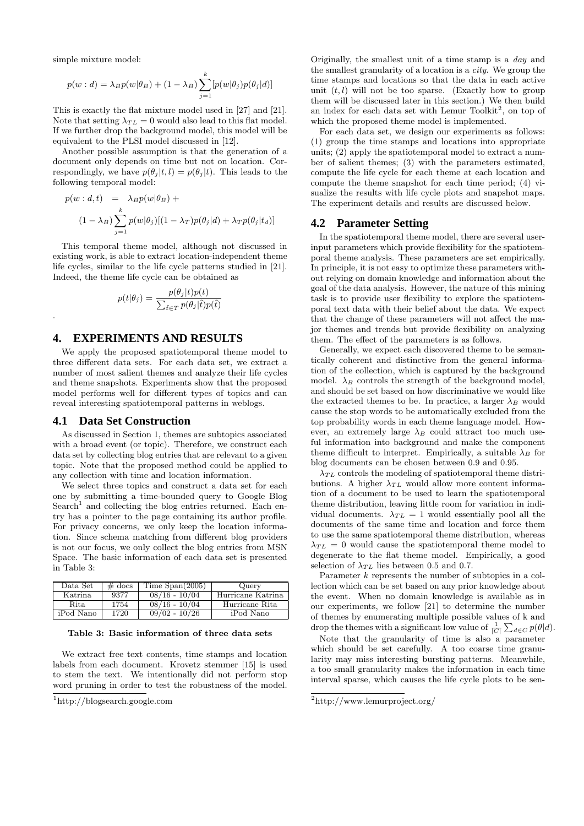simple mixture model:

$$
p(w:d) = \lambda_B p(w|\theta_B) + (1 - \lambda_B) \sum_{j=1}^{k} [p(w|\theta_j) p(\theta_j|d)]
$$

This is exactly the flat mixture model used in [27] and [21]. Note that setting  $\lambda_{TL} = 0$  would also lead to this flat model. If we further drop the background model, this model will be equivalent to the PLSI model discussed in [12].

Another possible assumption is that the generation of a document only depends on time but not on location. Correspondingly, we have  $p(\theta_i | t, l) = p(\theta_i | t)$ . This leads to the following temporal model:

$$
p(w:d, t) = \lambda_B p(w|\theta_B) +
$$
  

$$
(1 - \lambda_B) \sum_{j=1}^k p(w|\theta_j)[(1 - \lambda_T)p(\theta_j|d) + \lambda_T p(\theta_j|t_d)]
$$

This temporal theme model, although not discussed in existing work, is able to extract location-independent theme life cycles, similar to the life cycle patterns studied in [21]. Indeed, the theme life cycle can be obtained as

$$
p(t|\theta_j) = \frac{p(\theta_j|t)p(t)}{\sum_{\tilde{t}\in T} p(\theta_j|\tilde{t})p(\tilde{t})}
$$

## **4. EXPERIMENTS AND RESULTS**

We apply the proposed spatiotemporal theme model to three different data sets. For each data set, we extract a number of most salient themes and analyze their life cycles and theme snapshots. Experiments show that the proposed model performs well for different types of topics and can reveal interesting spatiotemporal patterns in weblogs.

#### **4.1 Data Set Construction**

.

As discussed in Section 1, themes are subtopics associated with a broad event (or topic). Therefore, we construct each data set by collecting blog entries that are relevant to a given topic. Note that the proposed method could be applied to any collection with time and location information.

We select three topics and construct a data set for each one by submitting a time-bounded query to Google Blog Search<sup>1</sup> and collecting the blog entries returned. Each entry has a pointer to the page containing its author profile. For privacy concerns, we only keep the location information. Since schema matching from different blog providers is not our focus, we only collect the blog entries from MSN Space. The basic information of each data set is presented in Table 3:

| Data Set  | $\#$ docs | Time $Span(2005)$ | Query             |
|-----------|-----------|-------------------|-------------------|
| Katrina.  | 9377      | $08/16 - 10/04$   | Hurricane Katrina |
| Rita      | 1754      | $08/16 - 10/04$   | Hurricane Rita    |
| iPod Nano | 1720      | $09/02 - 10/26$   | iPod Nano         |

Table 3: Basic information of three data sets

We extract free text contents, time stamps and location labels from each document. Krovetz stemmer [15] is used to stem the text. We intentionally did not perform stop word pruning in order to test the robustness of the model.

Originally, the smallest unit of a time stamp is a day and the smallest granularity of a location is a city. We group the time stamps and locations so that the data in each active unit  $(t, l)$  will not be too sparse. (Exactly how to group them will be discussed later in this section.) We then build an index for each data set with Lemur Toolkit<sup>2</sup>, on top of which the proposed theme model is implemented.

For each data set, we design our experiments as follows: (1) group the time stamps and locations into appropriate units; (2) apply the spatiotemporal model to extract a number of salient themes; (3) with the parameters estimated, compute the life cycle for each theme at each location and compute the theme snapshot for each time period; (4) visualize the results with life cycle plots and snapshot maps. The experiment details and results are discussed below.

#### **4.2 Parameter Setting**

In the spatiotemporal theme model, there are several userinput parameters which provide flexibility for the spatiotemporal theme analysis. These parameters are set empirically. In principle, it is not easy to optimize these parameters without relying on domain knowledge and information about the goal of the data analysis. However, the nature of this mining task is to provide user flexibility to explore the spatiotemporal text data with their belief about the data. We expect that the change of these parameters will not affect the major themes and trends but provide flexibility on analyzing them. The effect of the parameters is as follows.

Generally, we expect each discovered theme to be semantically coherent and distinctive from the general information of the collection, which is captured by the background model.  $\lambda_B$  controls the strength of the background model, and should be set based on how discriminative we would like the extracted themes to be. In practice, a larger  $\lambda_B$  would cause the stop words to be automatically excluded from the top probability words in each theme language model. However, an extremely large  $\lambda_B$  could attract too much useful information into background and make the component theme difficult to interpret. Empirically, a suitable  $\lambda_B$  for blog documents can be chosen between 0.9 and 0.95.

 $\lambda_{TL}$  controls the modeling of spatiotemporal theme distributions. A higher  $\lambda_{TL}$  would allow more content information of a document to be used to learn the spatiotemporal theme distribution, leaving little room for variation in individual documents.  $\lambda_{TL} = 1$  would essentially pool all the documents of the same time and location and force them to use the same spatiotemporal theme distribution, whereas  $\lambda_{TL} = 0$  would cause the spatiotemporal theme model to degenerate to the flat theme model. Empirically, a good selection of  $\lambda_{TL}$  lies between 0.5 and 0.7.

Parameter k represents the number of subtopics in a collection which can be set based on any prior knowledge about the event. When no domain knowledge is available as in our experiments, we follow [21] to determine the number of themes by enumerating multiple possible values of k and P drop the themes with a significant low value of  $\frac{1}{|C|} \sum_{d \in C} p(\theta | d)$ .

Note that the granularity of time is also a parameter which should be set carefully. A too coarse time granularity may miss interesting bursting patterns. Meanwhile, a too small granularity makes the information in each time interval sparse, which causes the life cycle plots to be sen-

<sup>1</sup>http://blogsearch.google.com

<sup>2</sup>http://www.lemurproject.org/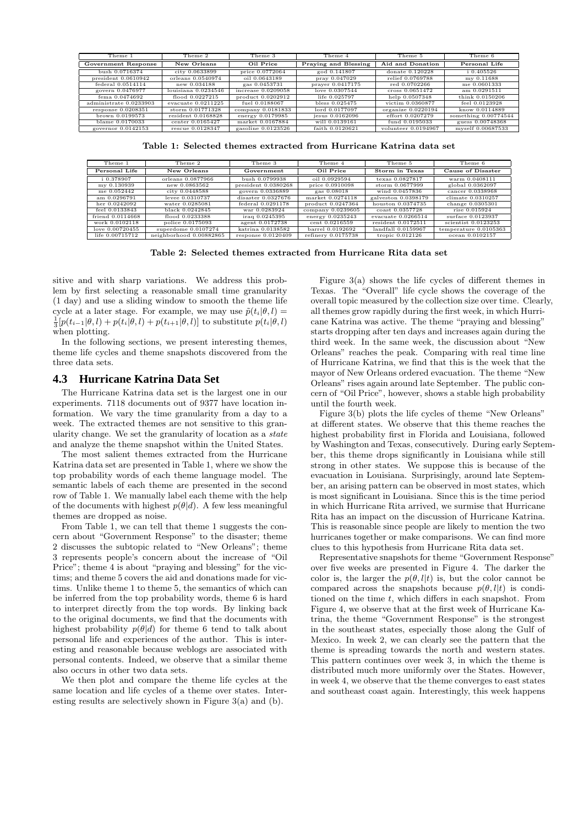| Theme 1                | Theme 2              | Theme 3              | Theme 4              | Theme 5              | Theme 6                |
|------------------------|----------------------|----------------------|----------------------|----------------------|------------------------|
| Government Response    | New Orleans          | Oil Price            | Praying and Blessing | Aid and Donation     | Personal Life          |
| bush 0.0716374         | city 0.0633899       | price 0.0772064      | god 0.141807         | donate $0.120228$    | i 0.405526             |
| president 0.0610942    | orleans 0.0540974    | oil 0.0643189        | pray 0.047029        | relief 0.0769788     | my 0.11688             |
| federal 0.0514114      | new 0.034188         | gas 0.0453731        | prayer 0.0417175     | red 0.0702266        | me 0.0601333           |
| govern 0.0476977       | louisiana 0.0234546  | increase 0.0209058   | love 0.0307544       | cross 0.0651472      | am 0.0291511           |
| fema 0.0474692         | flood 0.0227215      | product 0.0202912    | life 0.025797        | help 0.0507348       | think 0.0150206        |
| administrate 0.0233903 | evacuate $0.0211225$ | fuel 0.0188067       | bless 0.025475       | victim 0.0360877     | feel 0.0123928         |
| response $0.0208351$   | storm 0.01771328     | company 0.0181833    | lord 0.0177097       | organize $0.0220194$ | know 0.0114889         |
| brown 0.0199573        | resident 0.0168828   | energy 0.0179985     | jesus 0.0162096      | effort 0.0207279     | something $0.00774544$ |
| blame 0.0170033        | center 0.0165427     | market 0.0167884     | will 0.0139161       | fund 0.0195033       | guess 0.00748368       |
| governor 0.0142153     | rescue 0.0128347     | gasoline $0.0123526$ | faith 0.0120621      | volunteer 0.0194967  | myself 0.00687533      |

Table 1: Selected themes extracted from Hurricane Katrina data set

| Theme 1          | Theme 2                 | Theme 3              | Theme 4            | Theme 5                 | Theme 6                  |
|------------------|-------------------------|----------------------|--------------------|-------------------------|--------------------------|
| Personal Life    | New Orleans             | Government           | Oil Price          | Storm in Texas          | Cause of Disaster        |
| i 0.378907       | orleans 0.0877966       | bush 0.0799938       | oil 0.0929594      | texas 0.0827817         | warm 0.0408111           |
| my 0.130939      | new 0.0863562           | president 0.0380268  | price 0.0910098    | storm 0.0677999         | global 0.0362097         |
| me 0.052442      | city 0.0448588          | govern 0.0336889     | gas 0.08018        | wind 0.0457836          | cancer 0.0338968         |
| am 0.0296791     | levee 0.0310737         | disaster $0.0327676$ | market 0.0274118   | $galveston$ $0.0398179$ | climate 0.0310257        |
| her 0.0242092    | water 0.0285081         | federal 0.0291178    | product 0.0247364  | houston 0.0374735       | change $0.0305301$       |
| feel 0.0133843   | black 0.0242845         | war 0.0283924        | company 0.0239605  | coast 0.0357728         | rise 0.015924            |
| friend 0.0114668 | flood 0.0233388         | $iraq$ 0.0245395     | energy 0.0235243   | evacuate $0.0266514$    | surface 0.0123937        |
| work 0.0102118   | police 0.0175093        | agent 0.0172738      | cent 0.0216559     | resident 0.0172511      | scientist $0.0123253$    |
| love 0.00720455  | superdome $0.0107274$   | katrina 0.0138582    | barrel 0.0192692   | landfall 0.0159967      | $temperature\ 0.0105363$ |
| life 0.00715712  | neighborhood 0.00882865 | response $0.0120409$ | refinery 0.0175738 | tropic $0.012126$       | ocean 0.0102157          |

Table 2: Selected themes extracted from Hurricane Rita data set

sitive and with sharp variations. We address this problem by first selecting a reasonable small time granularity (1 day) and use a sliding window to smooth the theme life cycle at a later stage. For example, we may use  $\tilde{p}(t_i|\theta, l)$  =  $\frac{1}{3}[p(t_{i-1}|\theta,l)+p(t_i|\theta,l)+p(t_{i+1}|\theta,l)]$  to substitute  $p(t_i|\theta,l)$ when plotting.

In the following sections, we present interesting themes, theme life cycles and theme snapshots discovered from the three data sets.

## **4.3 Hurricane Katrina Data Set**

The Hurricane Katrina data set is the largest one in our experiments. 7118 documents out of 9377 have location information. We vary the time granularity from a day to a week. The extracted themes are not sensitive to this granularity change. We set the granularity of location as a state and analyze the theme snapshot within the United States.

The most salient themes extracted from the Hurricane Katrina data set are presented in Table 1, where we show the top probability words of each theme language model. The semantic labels of each theme are presented in the second row of Table 1. We manually label each theme with the help of the documents with highest  $p(\theta|d)$ . A few less meaningful themes are dropped as noise.

From Table 1, we can tell that theme 1 suggests the concern about "Government Response" to the disaster; theme 2 discusses the subtopic related to "New Orleans"; theme 3 represents people's concern about the increase of "Oil Price"; theme 4 is about "praying and blessing" for the victims; and theme 5 covers the aid and donations made for victims. Unlike theme 1 to theme 5, the semantics of which can be inferred from the top probability words, theme 6 is hard to interpret directly from the top words. By linking back to the original documents, we find that the documents with highest probability  $p(\theta|d)$  for theme 6 tend to talk about personal life and experiences of the author. This is interesting and reasonable because weblogs are associated with personal contents. Indeed, we observe that a similar theme also occurs in other two data sets.

We then plot and compare the theme life cycles at the same location and life cycles of a theme over states. Interesting results are selectively shown in Figure 3(a) and (b).

Figure 3(a) shows the life cycles of different themes in Texas. The "Overall" life cycle shows the coverage of the overall topic measured by the collection size over time. Clearly, all themes grow rapidly during the first week, in which Hurricane Katrina was active. The theme "praying and blessing" starts dropping after ten days and increases again during the third week. In the same week, the discussion about "New Orleans" reaches the peak. Comparing with real time line of Hurricane Katrina, we find that this is the week that the mayor of New Orleans ordered evacuation. The theme "New Orleans" rises again around late September. The public concern of "Oil Price", however, shows a stable high probability until the fourth week.

Figure 3(b) plots the life cycles of theme "New Orleans" at different states. We observe that this theme reaches the highest probability first in Florida and Louisiana, followed by Washington and Texas, consecutively. During early September, this theme drops significantly in Louisiana while still strong in other states. We suppose this is because of the evacuation in Louisiana. Surprisingly, around late September, an arising pattern can be observed in most states, which is most significant in Louisiana. Since this is the time period in which Hurricane Rita arrived, we surmise that Hurricane Rita has an impact on the discussion of Hurricane Katrina. This is reasonable since people are likely to mention the two hurricanes together or make comparisons. We can find more clues to this hypothesis from Hurricane Rita data set.

Representative snapshots for theme "Government Response" over five weeks are presented in Figure 4. The darker the color is, the larger the  $p(\theta, l|t)$  is, but the color cannot be compared across the snapshots because  $p(\theta, l|t)$  is conditioned on the time t, which differs in each snapshot. From Figure 4, we observe that at the first week of Hurricane Katrina, the theme "Government Response" is the strongest in the southeast states, especially those along the Gulf of Mexico. In week 2, we can clearly see the pattern that the theme is spreading towards the north and western states. This pattern continues over week 3, in which the theme is distributed much more uniformly over the States. However, in week 4, we observe that the theme converges to east states and southeast coast again. Interestingly, this week happens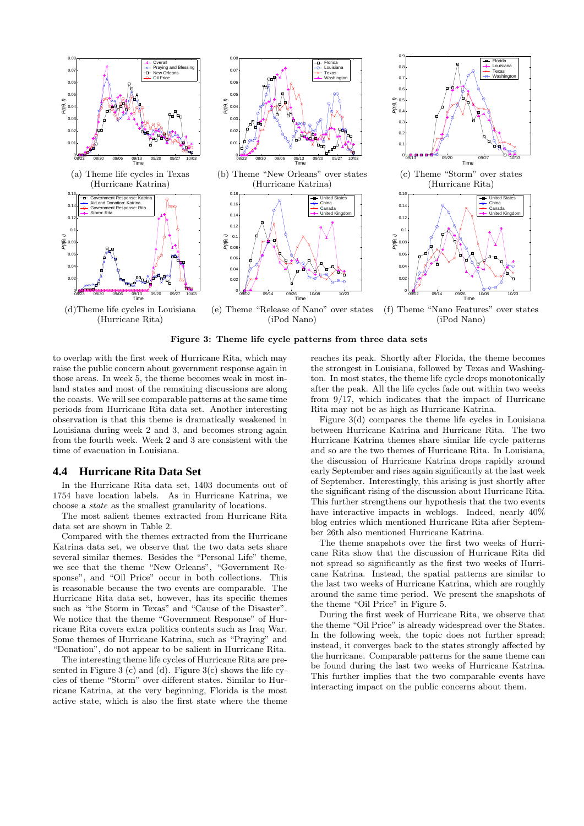

Figure 3: Theme life cycle patterns from three data sets

to overlap with the first week of Hurricane Rita, which may raise the public concern about government response again in those areas. In week 5, the theme becomes weak in most inland states and most of the remaining discussions are along the coasts. We will see comparable patterns at the same time periods from Hurricane Rita data set. Another interesting observation is that this theme is dramatically weakened in Louisiana during week 2 and 3, and becomes strong again from the fourth week. Week 2 and 3 are consistent with the time of evacuation in Louisiana.

## **4.4 Hurricane Rita Data Set**

In the Hurricane Rita data set, 1403 documents out of 1754 have location labels. As in Hurricane Katrina, we choose a state as the smallest granularity of locations.

The most salient themes extracted from Hurricane Rita data set are shown in Table 2.

Compared with the themes extracted from the Hurricane Katrina data set, we observe that the two data sets share several similar themes. Besides the "Personal Life" theme, we see that the theme "New Orleans", "Government Response", and "Oil Price" occur in both collections. This is reasonable because the two events are comparable. The Hurricane Rita data set, however, has its specific themes such as "the Storm in Texas" and "Cause of the Disaster". We notice that the theme "Government Response" of Hurricane Rita covers extra politics contents such as Iraq War. Some themes of Hurricane Katrina, such as "Praying" and "Donation", do not appear to be salient in Hurricane Rita.

The interesting theme life cycles of Hurricane Rita are presented in Figure 3 (c) and (d). Figure 3(c) shows the life cycles of theme "Storm" over different states. Similar to Hurricane Katrina, at the very beginning, Florida is the most active state, which is also the first state where the theme reaches its peak. Shortly after Florida, the theme becomes the strongest in Louisiana, followed by Texas and Washington. In most states, the theme life cycle drops monotonically after the peak. All the life cycles fade out within two weeks from 9/17, which indicates that the impact of Hurricane Rita may not be as high as Hurricane Katrina.

Figure 3(d) compares the theme life cycles in Louisiana between Hurricane Katrina and Hurricane Rita. The two Hurricane Katrina themes share similar life cycle patterns and so are the two themes of Hurricane Rita. In Louisiana, the discussion of Hurricane Katrina drops rapidly around early September and rises again significantly at the last week of September. Interestingly, this arising is just shortly after the significant rising of the discussion about Hurricane Rita. This further strengthens our hypothesis that the two events have interactive impacts in weblogs. Indeed, nearly  $40\%$ blog entries which mentioned Hurricane Rita after September 26th also mentioned Hurricane Katrina.

The theme snapshots over the first two weeks of Hurricane Rita show that the discussion of Hurricane Rita did not spread so significantly as the first two weeks of Hurricane Katrina. Instead, the spatial patterns are similar to the last two weeks of Hurricane Katrina, which are roughly around the same time period. We present the snapshots of the theme "Oil Price" in Figure 5.

During the first week of Hurricane Rita, we observe that the theme "Oil Price" is already widespread over the States. In the following week, the topic does not further spread; instead, it converges back to the states strongly affected by the hurricane. Comparable patterns for the same theme can be found during the last two weeks of Hurricane Katrina. This further implies that the two comparable events have interacting impact on the public concerns about them.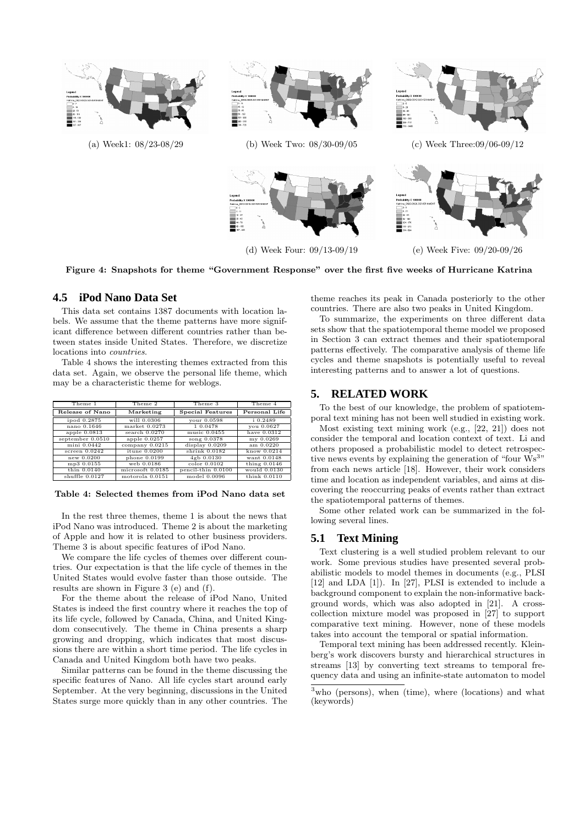

Figure 4: Snapshots for theme "Government Response" over the first five weeks of Hurricane Katrina

# **4.5 iPod Nano Data Set**

This data set contains 1387 documents with location labels. We assume that the theme patterns have more significant difference between different countries rather than between states inside United States. Therefore, we discretize locations into countries.

Table 4 shows the interesting themes extracted from this data set. Again, we observe the personal life theme, which may be a characteristic theme for weblogs.

| Theme 1          | Theme 2           | Theme 3                 | Theme 4        |
|------------------|-------------------|-------------------------|----------------|
| Release of Nano  | Marketing         | <b>Special Features</b> | Personal Life  |
| ipod 0.2875      | will 0.0306       | your 0.0598             | $i$ 0.2489     |
| nano 0.1646      | $market\ 0.0273$  | 1 0.0478                | you 0.0627     |
| apple 0.0813     | $search$ $0.0270$ | music 0.0455            | have $0.0312$  |
| september 0.0510 | apple 0.0257      | song 0.0378             | my 0.0269      |
| mini 0.0442      | company $0.0215$  | display 0.0209          | am 0.0220      |
| screen $0.0242$  | itune $0.0200$    | $shrink$ $0.0182$       | know 0.0214    |
| new 0.0200       | phone 0.0199      | 4gb0.0130               | want $0.0148$  |
| mp3 0.0155       | web 0.0186        | color 0.0102            | thing $0.0146$ |
| thin $0.0140$    | microsoft 0.0185  | pencil-thin 0.0100      | would 0.0130   |
| shuffle 0.0127   | motorola 0.0151   | model 0.0096            | think $0.0110$ |

Table 4: Selected themes from iPod Nano data set

In the rest three themes, theme 1 is about the news that iPod Nano was introduced. Theme 2 is about the marketing of Apple and how it is related to other business providers. Theme 3 is about specific features of iPod Nano.

We compare the life cycles of themes over different countries. Our expectation is that the life cycle of themes in the United States would evolve faster than those outside. The results are shown in Figure 3 (e) and (f).

For the theme about the release of iPod Nano, United States is indeed the first country where it reaches the top of its life cycle, followed by Canada, China, and United Kingdom consecutively. The theme in China presents a sharp growing and dropping, which indicates that most discussions there are within a short time period. The life cycles in Canada and United Kingdom both have two peaks.

Similar patterns can be found in the theme discussing the specific features of Nano. All life cycles start around early September. At the very beginning, discussions in the United States surge more quickly than in any other countries. The theme reaches its peak in Canada posteriorly to the other countries. There are also two peaks in United Kingdom.

To summarize, the experiments on three different data sets show that the spatiotemporal theme model we proposed in Section 3 can extract themes and their spatiotemporal patterns effectively. The comparative analysis of theme life cycles and theme snapshots is potentially useful to reveal interesting patterns and to answer a lot of questions.

## **5. RELATED WORK**

To the best of our knowledge, the problem of spatiotemporal text mining has not been well studied in existing work.

Most existing text mining work (e.g., [22, 21]) does not consider the temporal and location context of text. Li and others proposed a probabilistic model to detect retrospective news events by explaining the generation of "four  $\text{Ws}^3$ " from each news article [18]. However, their work considers time and location as independent variables, and aims at discovering the reoccurring peaks of events rather than extract the spatiotemporal patterns of themes.

Some other related work can be summarized in the following several lines.

#### **5.1 Text Mining**

Text clustering is a well studied problem relevant to our work. Some previous studies have presented several probabilistic models to model themes in documents (e.g., PLSI [12] and LDA [1]). In [27], PLSI is extended to include a background component to explain the non-informative background words, which was also adopted in [21]. A crosscollection mixture model was proposed in [27] to support comparative text mining. However, none of these models takes into account the temporal or spatial information.

Temporal text mining has been addressed recently. Kleinberg's work discovers bursty and hierarchical structures in streams [13] by converting text streams to temporal frequency data and using an infinite-state automaton to model

<sup>3</sup>who (persons), when (time), where (locations) and what (keywords)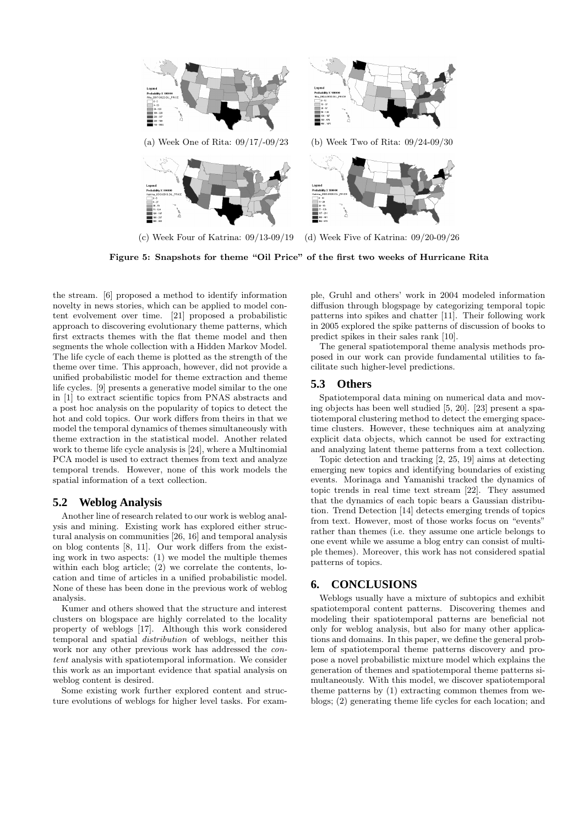

(c) Week Four of Katrina: 09/13-09/19 (d) Week Five of Katrina: 09/20-09/26

Figure 5: Snapshots for theme "Oil Price" of the first two weeks of Hurricane Rita

the stream. [6] proposed a method to identify information novelty in news stories, which can be applied to model content evolvement over time. [21] proposed a probabilistic approach to discovering evolutionary theme patterns, which first extracts themes with the flat theme model and then segments the whole collection with a Hidden Markov Model. The life cycle of each theme is plotted as the strength of the theme over time. This approach, however, did not provide a unified probabilistic model for theme extraction and theme life cycles. [9] presents a generative model similar to the one in [1] to extract scientific topics from PNAS abstracts and a post hoc analysis on the popularity of topics to detect the hot and cold topics. Our work differs from theirs in that we model the temporal dynamics of themes simultaneously with theme extraction in the statistical model. Another related work to theme life cycle analysis is [24], where a Multinomial PCA model is used to extract themes from text and analyze temporal trends. However, none of this work models the spatial information of a text collection.

#### **5.2 Weblog Analysis**

Another line of research related to our work is weblog analysis and mining. Existing work has explored either structural analysis on communities [26, 16] and temporal analysis on blog contents [8, 11]. Our work differs from the existing work in two aspects: (1) we model the multiple themes within each blog article; (2) we correlate the contents, location and time of articles in a unified probabilistic model. None of these has been done in the previous work of weblog analysis.

Kumer and others showed that the structure and interest clusters on blogspace are highly correlated to the locality property of weblogs [17]. Although this work considered temporal and spatial distribution of weblogs, neither this work nor any other previous work has addressed the content analysis with spatiotemporal information. We consider this work as an important evidence that spatial analysis on weblog content is desired.

Some existing work further explored content and structure evolutions of weblogs for higher level tasks. For example, Gruhl and others' work in 2004 modeled information diffusion through blogspage by categorizing temporal topic patterns into spikes and chatter [11]. Their following work in 2005 explored the spike patterns of discussion of books to predict spikes in their sales rank [10].

The general spatiotemporal theme analysis methods proposed in our work can provide fundamental utilities to facilitate such higher-level predictions.

### **5.3 Others**

Spatiotemporal data mining on numerical data and moving objects has been well studied [5, 20]. [23] present a spatiotemporal clustering method to detect the emerging spacetime clusters. However, these techniques aim at analyzing explicit data objects, which cannot be used for extracting and analyzing latent theme patterns from a text collection.

Topic detection and tracking [2, 25, 19] aims at detecting emerging new topics and identifying boundaries of existing events. Morinaga and Yamanishi tracked the dynamics of topic trends in real time text stream [22]. They assumed that the dynamics of each topic bears a Gaussian distribution. Trend Detection [14] detects emerging trends of topics from text. However, most of those works focus on "events" rather than themes (i.e. they assume one article belongs to one event while we assume a blog entry can consist of multiple themes). Moreover, this work has not considered spatial patterns of topics.

# **6. CONCLUSIONS**

Weblogs usually have a mixture of subtopics and exhibit spatiotemporal content patterns. Discovering themes and modeling their spatiotemporal patterns are beneficial not only for weblog analysis, but also for many other applications and domains. In this paper, we define the general problem of spatiotemporal theme patterns discovery and propose a novel probabilistic mixture model which explains the generation of themes and spatiotemporal theme patterns simultaneously. With this model, we discover spatiotemporal theme patterns by (1) extracting common themes from weblogs; (2) generating theme life cycles for each location; and